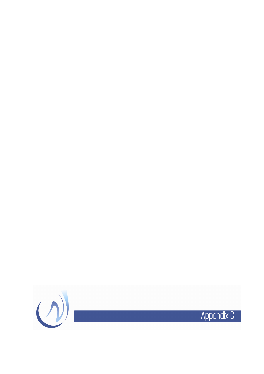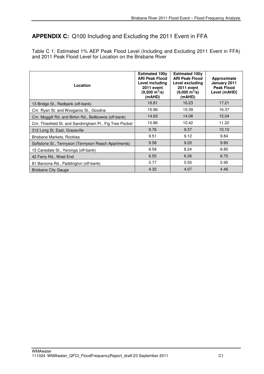## **APPENDIX C:** Q100 Including and Excluding the 2011 Event in FFA

Table C 1: Estimated 1% AEP Peak Flood Level (Including and Excluding 2011 Event in FFA) and 2011 Peak Flood Level for Location on the Brisbane River

| Location                                                 | <b>Estimated 100y</b><br><b>ARI Peak Flood</b><br>Level including<br>2011 event<br>$(9,500 \text{ m}^3/\text{s})$<br>(mAHD) | <b>Estimated 100y</b><br><b>ARI Peak Flood</b><br>Level excluding<br><b>2011 event</b><br>$(9,000 \text{ m}^3/\text{s})$<br>(mAHD) | Approximate<br>January 2011<br><b>Peak Flood</b><br>Level (mAHD) |
|----------------------------------------------------------|-----------------------------------------------------------------------------------------------------------------------------|------------------------------------------------------------------------------------------------------------------------------------|------------------------------------------------------------------|
| 13 Bridge St., Redbank (off-bank)                        | 16.81                                                                                                                       | 16.23                                                                                                                              | 17.21                                                            |
| Cnr. Ryan St. and Woogaroo St., Goodna                   | 15.96                                                                                                                       | 15.39                                                                                                                              | 16.37                                                            |
| Cnr. Moggill Rd. and Birkin Rd., Bellbowrie (off-bank)   | 14.63                                                                                                                       | 14.08                                                                                                                              | 15.04                                                            |
| Cnr. Thiesfield St. and Sandringham Pl., Fig Tree Pocket | 10.86                                                                                                                       | 10.42                                                                                                                              | 11.22                                                            |
| 312 Long St. East, Graceville                            | 9.76                                                                                                                        | 9.37                                                                                                                               | 10.10                                                            |
| Brisbane Markets, Rocklea                                | 9.51                                                                                                                        | 9.12                                                                                                                               | 9.84                                                             |
| Softstone St., Tennyson (Tennyson Reach Apartments)      | 9.58                                                                                                                        | 9.20                                                                                                                               | 9.90                                                             |
| 15 Cansdale St., Yeronga (off-bank)                      | 8.58                                                                                                                        | 8.24                                                                                                                               | 8.85                                                             |
| 42 Ferry Rd., West End                                   | 6.55                                                                                                                        | 6.26                                                                                                                               | 6.75                                                             |
| 81 Baroona Rd., Paddington (off-bank)                    | 5.77                                                                                                                        | 5.50                                                                                                                               | 5.95                                                             |
| <b>Brisbane City Gauge</b>                               | 4.32                                                                                                                        | 4.07                                                                                                                               | 4.46                                                             |